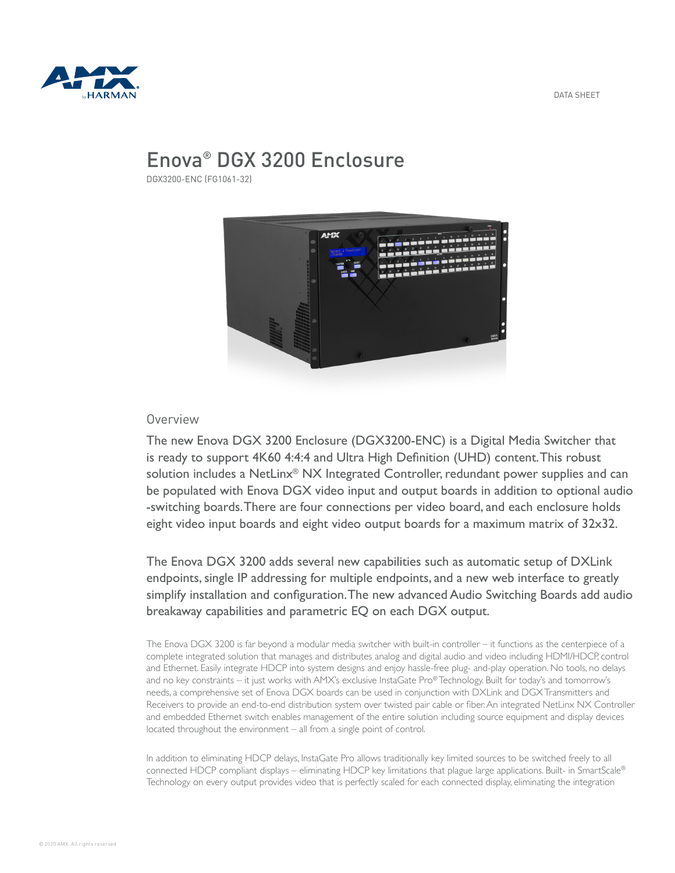

# Enova® DGX 3200 Enclosure

DGX3200-ENC (FG1061-32)



## Overview

The new Enova DGX 3200 Enclosure (DGX3200-ENC) is a Digital Media Switcher that is ready to support 4K60 4:4:4 and Ultra High Definition (UHD) content. This robust solution includes a NetLinx<sup>®</sup> NX Integrated Controller, redundant power supplies and can be populated with Enova DGX video input and output boards in addition to optional audio -switching boards. There are four connections per video board, and each enclosure holds eight video input boards and eight video output boards for a maximum matrix of 32x32.

The Enova DGX 3200 adds several new capabilities such as automatic setup of DXLink endpoints, single IP addressing for multiple endpoints, and a new web interface to greatly simplify installation and configuration. The new advanced Audio Switching Boards add audio breakaway capabilities and parametric EQ on each DGX output.

The Enova DGX 3200 is far beyond a modular media switcher with built-in controller – it functions as the centerpiece of a complete integrated solution that manages and distributes analog and digital audio and video including HDMI/HDCP, control and Ethernet. Easily integrate HDCP into system designs and enjoy hassle-free plug- and-play operation. No tools, no delays and no key constraints – it just works with AMX's exclusive InstaGate Pro® Technology. Built for today's and tomorrow's needs, a comprehensive set of Enova DGX boards can be used in conjunction with DXLink and DGX Transmitters and Receivers to provide an end-to-end distribution system over twisted pair cable or fiber. An integrated NetLinx NX Controller and embedded Ethernet switch enables management of the entire solution including source equipment and display devices located throughout the environment – all from a single point of control.

In addition to eliminating HDCP delays, InstaGate Pro allows traditionally key limited sources to be switched freely to all connected HDCP compliant displays – eliminating HDCP key limitations that plague large applications. Built- in SmartScale® Technology on every output provides video that is perfectly scaled for each connected display, eliminating the integration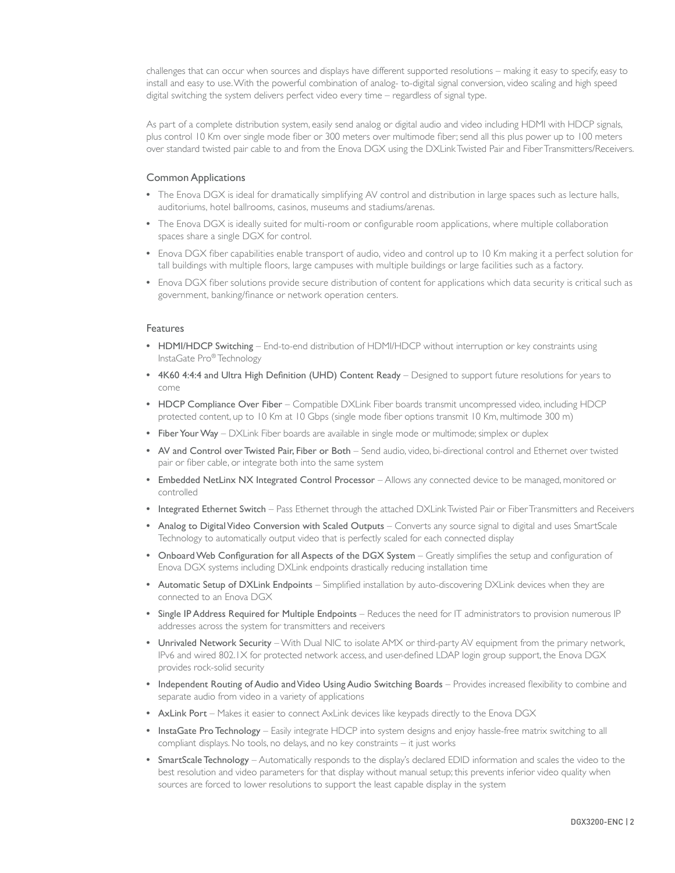challenges that can occur when sources and displays have different supported resolutions – making it easy to specify, easy to install and easy to use. With the powerful combination of analog- to-digital signal conversion, video scaling and high speed digital switching the system delivers perfect video every time – regardless of signal type.

As part of a complete distribution system, easily send analog or digital audio and video including HDMI with HDCP signals, plus control 10 Km over single mode fiber or 300 meters over multimode fiber; send all this plus power up to 100 meters over standard twisted pair cable to and from the Enova DGX using the DXLink Twisted Pair and Fiber Transmitters/Receivers.

#### Common Applications

- The Enova DGX is ideal for dramatically simplifying AV control and distribution in large spaces such as lecture halls, auditoriums, hotel ballrooms, casinos, museums and stadiums/arenas.
- The Enova DGX is ideally suited for multi-room or configurable room applications, where multiple collaboration spaces share a single DGX for control.
- Enova DGX fiber capabilities enable transport of audio, video and control up to 10 Km making it a perfect solution for tall buildings with multiple floors, large campuses with multiple buildings or large facilities such as a factory.
- Enova DGX fiber solutions provide secure distribution of content for applications which data security is critical such as government, banking/finance or network operation centers.

#### Features

- HDMI/HDCP Switching End-to-end distribution of HDMI/HDCP without interruption or key constraints using InstaGate Pro® Technology
- 4K60 4:4:4 and Ultra High Definition (UHD) Content Ready Designed to support future resolutions for years to come
- HDCP Compliance Over Fiber Compatible DXLink Fiber boards transmit uncompressed video, including HDCP protected content, up to 10 Km at 10 Gbps (single mode fiber options transmit 10 Km, multimode 300 m)
- Fiber Your Way DXLink Fiber boards are available in single mode or multimode; simplex or duplex
- AV and Control over Twisted Pair, Fiber or Both Send audio, video, bi-directional control and Ethernet over twisted pair or fiber cable, or integrate both into the same system
- Embedded NetLinx NX Integrated Control Processor Allows any connected device to be managed, monitored or controlled
- Integrated Ethernet Switch Pass Ethernet through the attached DXLink Twisted Pair or Fiber Transmitters and Receivers
- Analog to Digital Video Conversion with Scaled Outputs Converts any source signal to digital and uses SmartScale Technology to automatically output video that is perfectly scaled for each connected display
- Onboard Web Configuration for all Aspects of the DGX System Greatly simplifies the setup and configuration of Enova DGX systems including DXLink endpoints drastically reducing installation time
- Automatic Setup of DXLink Endpoints Simplified installation by auto-discovering DXLink devices when they are connected to an Enova DGX
- Single IP Address Required for Multiple Endpoints Reduces the need for IT administrators to provision numerous IP addresses across the system for transmitters and receivers
- Unrivaled Network Security With Dual NIC to isolate AMX or third-party AV equipment from the primary network, IPv6 and wired 802.1X for protected network access, and user-defined LDAP login group support, the Enova DGX provides rock-solid security
- Independent Routing of Audio and Video Using Audio Switching Boards Provides increased flexibility to combine and separate audio from video in a variety of applications
- AxLink Port Makes it easier to connect AxLink devices like keypads directly to the Enova DGX
- InstaGate Pro Technology Easily integrate HDCP into system designs and enjoy hassle-free matrix switching to all compliant displays. No tools, no delays, and no key constraints – it just works
- SmartScale Technology Automatically responds to the display's declared EDID information and scales the video to the best resolution and video parameters for that display without manual setup; this prevents inferior video quality when sources are forced to lower resolutions to support the least capable display in the system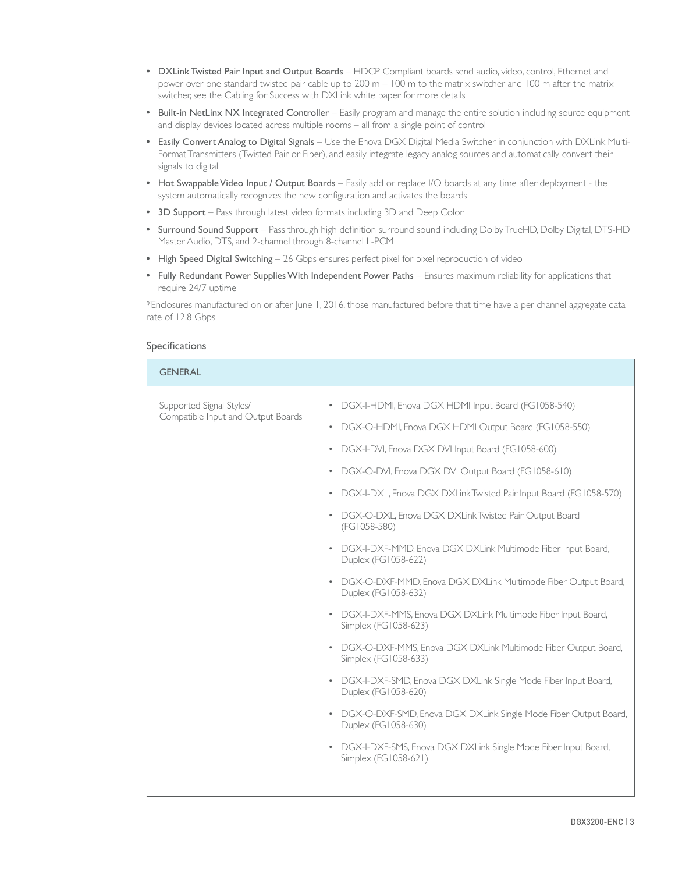- DXLink Twisted Pair Input and Output Boards HDCP Compliant boards send audio, video, control, Ethernet and power over one standard twisted pair cable up to 200 m – 100 m to the matrix switcher and 100 m after the matrix switcher, see the Cabling for Success with DXLink white paper for more details
- Built-in NetLinx NX Integrated Controller Easily program and manage the entire solution including source equipment and display devices located across multiple rooms – all from a single point of control
- Easily Convert Analog to Digital Signals Use the Enova DGX Digital Media Switcher in conjunction with DXLink Multi-Format Transmitters (Twisted Pair or Fiber), and easily integrate legacy analog sources and automatically convert their signals to digital
- Hot Swappable Video Input / Output Boards Easily add or replace I/O boards at any time after deployment the system automatically recognizes the new configuration and activates the boards
- 3D Support Pass through latest video formats including 3D and Deep Color
- Surround Sound Support Pass through high definition surround sound including Dolby TrueHD, Dolby Digital, DTS-HD Master Audio, DTS, and 2-channel through 8-channel L-PCM
- High Speed Digital Switching 26 Gbps ensures perfect pixel for pixel reproduction of video
- Fully Redundant Power Supplies With Independent Power Paths Ensures maximum reliability for applications that require 24/7 uptime

\*Enclosures manufactured on or after June 1, 2016, those manufactured before that time have a per channel aggregate data rate of 12.8 Gbps

### Specifications

| <b>GENERAL</b>                                                 |                                                                                                                                                                                                                                                                                                                                                                                                                                                                                                                                                                                                                                                                                                                                                                                                                                                                                                                                                                                                                                                                                                                                                                                            |
|----------------------------------------------------------------|--------------------------------------------------------------------------------------------------------------------------------------------------------------------------------------------------------------------------------------------------------------------------------------------------------------------------------------------------------------------------------------------------------------------------------------------------------------------------------------------------------------------------------------------------------------------------------------------------------------------------------------------------------------------------------------------------------------------------------------------------------------------------------------------------------------------------------------------------------------------------------------------------------------------------------------------------------------------------------------------------------------------------------------------------------------------------------------------------------------------------------------------------------------------------------------------|
| Supported Signal Styles/<br>Compatible Input and Output Boards | DGX-I-HDMI, Enova DGX HDMI Input Board (FG1058-540)<br>$\bullet$<br>DGX-O-HDMI, Enova DGX HDMI Output Board (FG1058-550)<br>$\bullet$<br>DGX-I-DVI, Enova DGX DVI Input Board (FG1058-600)<br>$\bullet$<br>DGX-O-DVI, Enova DGX DVI Output Board (FG1058-610)<br>$\bullet$<br>DGX-I-DXL, Enova DGX DXLink Twisted Pair Input Board (FG1058-570)<br>$\bullet$<br>DGX-O-DXL, Enova DGX DXLink Twisted Pair Output Board<br>$\bullet$<br>(FG1058-580)<br>DGX-I-DXF-MMD, Enova DGX DXLink Multimode Fiber Input Board,<br>$\bullet$<br>Duplex (FG1058-622)<br>DGX-O-DXF-MMD, Enova DGX DXLink Multimode Fiber Output Board,<br>$\bullet$<br>Duplex (FG1058-632)<br>DGX-I-DXF-MMS, Enova DGX DXLink Multimode Fiber Input Board,<br>$\bullet$<br>Simplex (FG1058-623)<br>DGX-O-DXF-MMS, Enova DGX DXLink Multimode Fiber Output Board,<br>$\bullet$<br>Simplex (FG1058-633)<br>DGX-I-DXF-SMD, Enova DGX DXLink Single Mode Fiber Input Board,<br>$\bullet$<br>Duplex (FG1058-620)<br>DGX-O-DXF-SMD, Enova DGX DXLink Single Mode Fiber Output Board,<br>$\bullet$<br>Duplex (FG1058-630)<br>DGX-I-DXF-SMS, Enova DGX DXLink Single Mode Fiber Input Board,<br>$\bullet$<br>Simplex (FG1058-621) |
|                                                                |                                                                                                                                                                                                                                                                                                                                                                                                                                                                                                                                                                                                                                                                                                                                                                                                                                                                                                                                                                                                                                                                                                                                                                                            |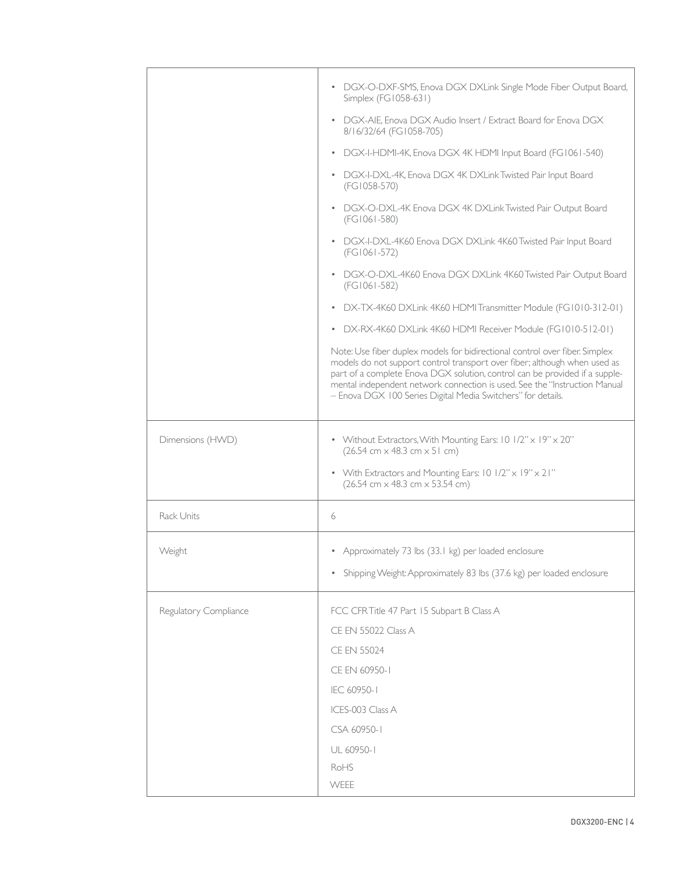| • DGX-O-DXF-SMS, Enova DGX DXLink Single Mode Fiber Output Board,<br>Simplex (FG1058-631)<br>• DGX-AIE, Enova DGX Audio Insert / Extract Board for Enova DGX<br>8/16/32/64 (FG1058-705)<br>DGX-I-HDMI-4K, Enova DGX 4K HDMI Input Board (FG1061-540)<br>$\bullet$<br>• DGX-I-DXL-4K, Enova DGX 4K DXLink Twisted Pair Input Board<br>(FG1058-570)<br>DGX-O-DXL-4K Enova DGX 4K DXLink Twisted Pair Output Board<br>$\bullet$<br>(FG1061-580)<br>DGX-I-DXL-4K60 Enova DGX DXLink 4K60 Twisted Pair Input Board<br>$\bullet$<br>(FG1061-572)<br>DGX-O-DXL-4K60 Enova DGX DXLink 4K60 Twisted Pair Output Board<br>$\bullet$<br>(FG1061-582)<br>DX-TX-4K60 DXLink 4K60 HDMI Transmitter Module (FG1010-312-01)<br>$\bullet$<br>• DX-RX-4K60 DXLink 4K60 HDMI Receiver Module (FG1010-512-01)<br>Note: Use fiber duplex models for bidirectional control over fiber. Simplex<br>models do not support control transport over fiber; although when used as<br>part of a complete Enova DGX solution, control can be provided if a supple-<br>mental independent network connection is used. See the "Instruction Manual<br>- Enova DGX 100 Series Digital Media Switchers" for details.<br>Dimensions (HWD)<br>• Without Extractors, With Mounting Ears: 10 1/2" x 19" x 20"<br>$(26.54 \text{ cm} \times 48.3 \text{ cm} \times 51 \text{ cm})$<br>• With Extractors and Mounting Ears: 10 1/2" x 19" x 21"<br>$(26.54 \text{ cm} \times 48.3 \text{ cm} \times 53.54 \text{ cm})$<br><b>Rack Units</b><br>6<br>Weight<br>• Approximately 73 lbs (33.1 kg) per loaded enclosure<br>Shipping Weight: Approximately 83 lbs (37.6 kg) per loaded enclosure<br>$\bullet$<br>Regulatory Compliance<br>FCC CFR Title 47 Part 15 Subpart B Class A |      |
|-----------------------------------------------------------------------------------------------------------------------------------------------------------------------------------------------------------------------------------------------------------------------------------------------------------------------------------------------------------------------------------------------------------------------------------------------------------------------------------------------------------------------------------------------------------------------------------------------------------------------------------------------------------------------------------------------------------------------------------------------------------------------------------------------------------------------------------------------------------------------------------------------------------------------------------------------------------------------------------------------------------------------------------------------------------------------------------------------------------------------------------------------------------------------------------------------------------------------------------------------------------------------------------------------------------------------------------------------------------------------------------------------------------------------------------------------------------------------------------------------------------------------------------------------------------------------------------------------------------------------------------------------------------------------------------------------------------------------------------------|------|
|                                                                                                                                                                                                                                                                                                                                                                                                                                                                                                                                                                                                                                                                                                                                                                                                                                                                                                                                                                                                                                                                                                                                                                                                                                                                                                                                                                                                                                                                                                                                                                                                                                                                                                                                         |      |
|                                                                                                                                                                                                                                                                                                                                                                                                                                                                                                                                                                                                                                                                                                                                                                                                                                                                                                                                                                                                                                                                                                                                                                                                                                                                                                                                                                                                                                                                                                                                                                                                                                                                                                                                         |      |
|                                                                                                                                                                                                                                                                                                                                                                                                                                                                                                                                                                                                                                                                                                                                                                                                                                                                                                                                                                                                                                                                                                                                                                                                                                                                                                                                                                                                                                                                                                                                                                                                                                                                                                                                         |      |
|                                                                                                                                                                                                                                                                                                                                                                                                                                                                                                                                                                                                                                                                                                                                                                                                                                                                                                                                                                                                                                                                                                                                                                                                                                                                                                                                                                                                                                                                                                                                                                                                                                                                                                                                         |      |
|                                                                                                                                                                                                                                                                                                                                                                                                                                                                                                                                                                                                                                                                                                                                                                                                                                                                                                                                                                                                                                                                                                                                                                                                                                                                                                                                                                                                                                                                                                                                                                                                                                                                                                                                         |      |
|                                                                                                                                                                                                                                                                                                                                                                                                                                                                                                                                                                                                                                                                                                                                                                                                                                                                                                                                                                                                                                                                                                                                                                                                                                                                                                                                                                                                                                                                                                                                                                                                                                                                                                                                         |      |
|                                                                                                                                                                                                                                                                                                                                                                                                                                                                                                                                                                                                                                                                                                                                                                                                                                                                                                                                                                                                                                                                                                                                                                                                                                                                                                                                                                                                                                                                                                                                                                                                                                                                                                                                         |      |
|                                                                                                                                                                                                                                                                                                                                                                                                                                                                                                                                                                                                                                                                                                                                                                                                                                                                                                                                                                                                                                                                                                                                                                                                                                                                                                                                                                                                                                                                                                                                                                                                                                                                                                                                         |      |
|                                                                                                                                                                                                                                                                                                                                                                                                                                                                                                                                                                                                                                                                                                                                                                                                                                                                                                                                                                                                                                                                                                                                                                                                                                                                                                                                                                                                                                                                                                                                                                                                                                                                                                                                         |      |
|                                                                                                                                                                                                                                                                                                                                                                                                                                                                                                                                                                                                                                                                                                                                                                                                                                                                                                                                                                                                                                                                                                                                                                                                                                                                                                                                                                                                                                                                                                                                                                                                                                                                                                                                         |      |
|                                                                                                                                                                                                                                                                                                                                                                                                                                                                                                                                                                                                                                                                                                                                                                                                                                                                                                                                                                                                                                                                                                                                                                                                                                                                                                                                                                                                                                                                                                                                                                                                                                                                                                                                         |      |
|                                                                                                                                                                                                                                                                                                                                                                                                                                                                                                                                                                                                                                                                                                                                                                                                                                                                                                                                                                                                                                                                                                                                                                                                                                                                                                                                                                                                                                                                                                                                                                                                                                                                                                                                         |      |
|                                                                                                                                                                                                                                                                                                                                                                                                                                                                                                                                                                                                                                                                                                                                                                                                                                                                                                                                                                                                                                                                                                                                                                                                                                                                                                                                                                                                                                                                                                                                                                                                                                                                                                                                         |      |
|                                                                                                                                                                                                                                                                                                                                                                                                                                                                                                                                                                                                                                                                                                                                                                                                                                                                                                                                                                                                                                                                                                                                                                                                                                                                                                                                                                                                                                                                                                                                                                                                                                                                                                                                         |      |
|                                                                                                                                                                                                                                                                                                                                                                                                                                                                                                                                                                                                                                                                                                                                                                                                                                                                                                                                                                                                                                                                                                                                                                                                                                                                                                                                                                                                                                                                                                                                                                                                                                                                                                                                         |      |
|                                                                                                                                                                                                                                                                                                                                                                                                                                                                                                                                                                                                                                                                                                                                                                                                                                                                                                                                                                                                                                                                                                                                                                                                                                                                                                                                                                                                                                                                                                                                                                                                                                                                                                                                         |      |
| CE EN 55022 Class A                                                                                                                                                                                                                                                                                                                                                                                                                                                                                                                                                                                                                                                                                                                                                                                                                                                                                                                                                                                                                                                                                                                                                                                                                                                                                                                                                                                                                                                                                                                                                                                                                                                                                                                     |      |
| <b>CE EN 55024</b>                                                                                                                                                                                                                                                                                                                                                                                                                                                                                                                                                                                                                                                                                                                                                                                                                                                                                                                                                                                                                                                                                                                                                                                                                                                                                                                                                                                                                                                                                                                                                                                                                                                                                                                      |      |
| CE EN 60950-1                                                                                                                                                                                                                                                                                                                                                                                                                                                                                                                                                                                                                                                                                                                                                                                                                                                                                                                                                                                                                                                                                                                                                                                                                                                                                                                                                                                                                                                                                                                                                                                                                                                                                                                           |      |
| IEC 60950-1                                                                                                                                                                                                                                                                                                                                                                                                                                                                                                                                                                                                                                                                                                                                                                                                                                                                                                                                                                                                                                                                                                                                                                                                                                                                                                                                                                                                                                                                                                                                                                                                                                                                                                                             |      |
| ICES-003 Class A<br>CSA 60950-1                                                                                                                                                                                                                                                                                                                                                                                                                                                                                                                                                                                                                                                                                                                                                                                                                                                                                                                                                                                                                                                                                                                                                                                                                                                                                                                                                                                                                                                                                                                                                                                                                                                                                                         |      |
|                                                                                                                                                                                                                                                                                                                                                                                                                                                                                                                                                                                                                                                                                                                                                                                                                                                                                                                                                                                                                                                                                                                                                                                                                                                                                                                                                                                                                                                                                                                                                                                                                                                                                                                                         |      |
|                                                                                                                                                                                                                                                                                                                                                                                                                                                                                                                                                                                                                                                                                                                                                                                                                                                                                                                                                                                                                                                                                                                                                                                                                                                                                                                                                                                                                                                                                                                                                                                                                                                                                                                                         | RoHS |
| UL 60950-1                                                                                                                                                                                                                                                                                                                                                                                                                                                                                                                                                                                                                                                                                                                                                                                                                                                                                                                                                                                                                                                                                                                                                                                                                                                                                                                                                                                                                                                                                                                                                                                                                                                                                                                              | WEEE |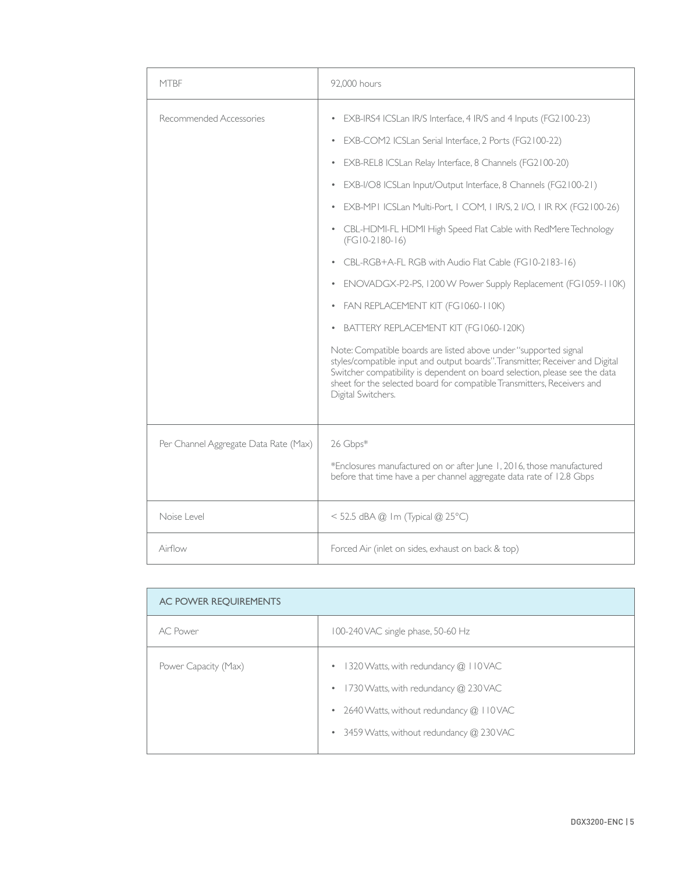| <b>MTBF</b>                           | 92,000 hours                                                                                                                                                                                                                                                                                                                                                                                                                                                                                                                                                                                                                                                                                                                                                                                                                                                                                                                                                                                                                 |
|---------------------------------------|------------------------------------------------------------------------------------------------------------------------------------------------------------------------------------------------------------------------------------------------------------------------------------------------------------------------------------------------------------------------------------------------------------------------------------------------------------------------------------------------------------------------------------------------------------------------------------------------------------------------------------------------------------------------------------------------------------------------------------------------------------------------------------------------------------------------------------------------------------------------------------------------------------------------------------------------------------------------------------------------------------------------------|
| Recommended Accessories               | • EXB-IRS4 ICSLan IR/S Interface, 4 IR/S and 4 Inputs (FG2100-23)<br>EXB-COM2 ICSLan Serial Interface, 2 Ports (FG2100-22)<br>$\bullet$<br>EXB-REL8 ICSLan Relay Interface, 8 Channels (FG2100-20)<br>• EXB-I/O8 ICSLan Input/Output Interface, 8 Channels (FG2100-21)<br>EXB-MPI ICSLan Multi-Port, I COM, I IRVS, 2 I/O, I IR RX (FG2100-26)<br>$\bullet$<br>• CBL-HDMI-FL HDMI High Speed Flat Cable with RedMere Technology<br>$(FG10-2180-16)$<br>CBL-RGB+A-FL RGB with Audio Flat Cable (FG10-2183-16)<br>• ENOVADGX-P2-PS, 1200 W Power Supply Replacement (FG1059-110K)<br>FAN REPLACEMENT KIT (FG1060-110K)<br>$\bullet$<br>BATTERY REPLACEMENT KIT (FG1060-120K)<br>$\bullet$<br>Note: Compatible boards are listed above under "supported signal<br>styles/compatible input and output boards". Transmitter, Receiver and Digital<br>Switcher compatibility is dependent on board selection, please see the data<br>sheet for the selected board for compatible Transmitters, Receivers and<br>Digital Switchers. |
| Per Channel Aggregate Data Rate (Max) | 26 Gbps*<br>*Enclosures manufactured on or after June 1, 2016, those manufactured<br>before that time have a per channel aggregate data rate of 12.8 Gbps                                                                                                                                                                                                                                                                                                                                                                                                                                                                                                                                                                                                                                                                                                                                                                                                                                                                    |
| Noise Level                           | < 52.5 dBA @ Im (Typical @ 25°C)                                                                                                                                                                                                                                                                                                                                                                                                                                                                                                                                                                                                                                                                                                                                                                                                                                                                                                                                                                                             |
| Airflow                               | Forced Air (inlet on sides, exhaust on back & top)                                                                                                                                                                                                                                                                                                                                                                                                                                                                                                                                                                                                                                                                                                                                                                                                                                                                                                                                                                           |

| AC POWER REQUIREMENTS |                                                                                                                                                                                               |
|-----------------------|-----------------------------------------------------------------------------------------------------------------------------------------------------------------------------------------------|
| AC Power              | 100-240 VAC single phase, 50-60 Hz                                                                                                                                                            |
| Power Capacity (Max)  | 1320 Watts, with redundancy @ 110 VAC<br>$\bullet$<br>• 1730 Watts, with redundancy @ 230 VAC<br>• 2640 Watts, without redundancy $@$ 110 VAC<br>• 3459 Watts, without redundancy $@$ 230 VAC |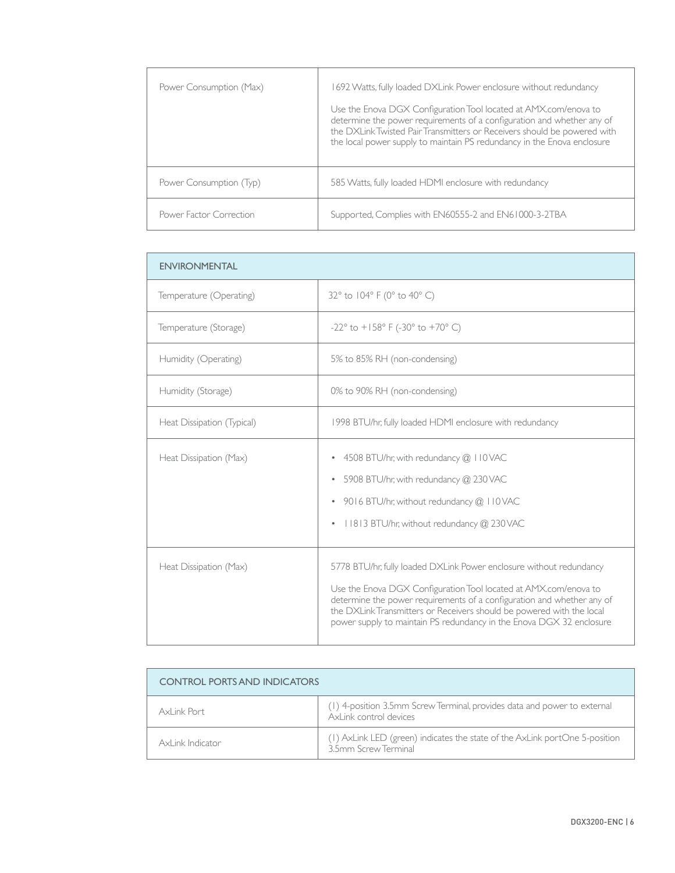| Power Consumption (Max) | 1692 Watts, fully loaded DXLink Power enclosure without redundancy<br>Use the Enova DGX Configuration Tool located at AMX.com/enova to<br>determine the power requirements of a configuration and whether any of<br>the DXLink Twisted Pair Transmitters or Receivers should be powered with<br>the local power supply to maintain PS redundancy in the Enova enclosure |
|-------------------------|-------------------------------------------------------------------------------------------------------------------------------------------------------------------------------------------------------------------------------------------------------------------------------------------------------------------------------------------------------------------------|
| Power Consumption (Typ) | 585 Watts, fully loaded HDMI enclosure with redundancy                                                                                                                                                                                                                                                                                                                  |
| Power Factor Correction | Supported, Complies with EN60555-2 and EN61000-3-2TBA                                                                                                                                                                                                                                                                                                                   |

| <b>ENVIRONMENTAL</b>       |                                                                                                                                                                                                                                                                                                                                                                    |
|----------------------------|--------------------------------------------------------------------------------------------------------------------------------------------------------------------------------------------------------------------------------------------------------------------------------------------------------------------------------------------------------------------|
| Temperature (Operating)    | 32° to 104° F (0° to 40° C)                                                                                                                                                                                                                                                                                                                                        |
| Temperature (Storage)      | $-22^{\circ}$ to $+158^{\circ}$ F (-30° to +70° C)                                                                                                                                                                                                                                                                                                                 |
| Humidity (Operating)       | 5% to 85% RH (non-condensing)                                                                                                                                                                                                                                                                                                                                      |
| Humidity (Storage)         | 0% to 90% RH (non-condensing)                                                                                                                                                                                                                                                                                                                                      |
| Heat Dissipation (Typical) | 1998 BTU/hr, fully loaded HDMI enclosure with redundancy                                                                                                                                                                                                                                                                                                           |
| Heat Dissipation (Max)     | 4508 BTU/hr, with redundancy @ 110 VAC<br>$\bullet$<br>5908 BTU/hr, with redundancy @ 230 VAC<br>$\bullet$<br>9016 BTU/hr, without redundancy @ 110VAC<br>$\bullet$<br>11813 BTU/hr, without redundancy @ 230 VAC<br>$\bullet$                                                                                                                                     |
| Heat Dissipation (Max)     | 5778 BTU/hr, fully loaded DXLink Power enclosure without redundancy<br>Use the Enova DGX Configuration Tool located at AMX.com/enova to<br>determine the power requirements of a configuration and whether any of<br>the DXLink Transmitters or Receivers should be powered with the local<br>power supply to maintain PS redundancy in the Enova DGX 32 enclosure |

| <b>CONTROL PORTS AND INDICATORS</b> |                                                                                                     |
|-------------------------------------|-----------------------------------------------------------------------------------------------------|
| Axl ink Port                        | (1) 4-position 3.5mm Screw Terminal, provides data and power to external<br>AxLink control devices  |
| AxLink Indicator                    | (1) AxLink LED (green) indicates the state of the AxLink portOne 5-position<br>3.5mm Screw Terminal |